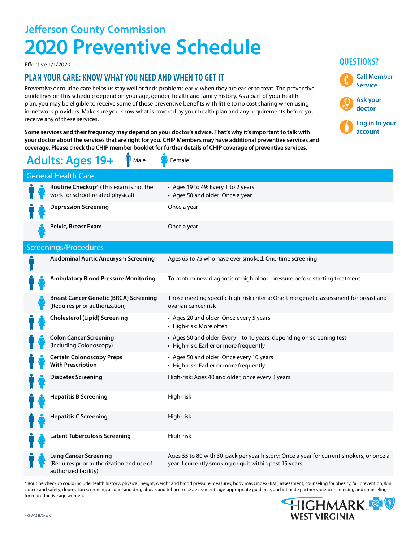## **Jefferson County Commission 2020 Preventive Schedule**

Effective 1/1/2020

### **PLAN YOUR CARE: KNOW WHAT YOU NEED AND WHEN TO GET IT**

Preventive or routine care helps us stay well or finds problems early, when they are easier to treat. The preventive guidelines on this schedule depend on your age, gender, health and family history. As a part of your health plan, you may be eligible to receive some of these preventive benefits with little to no cost sharing when using in-network providers. Make sure you know what is covered by your health plan and any requirements before you receive any of these services.

**Some services and their frequency may depend on your doctor's advice. That's why it's important to talk with your doctor about the services that are right for you. CHIP Members may have additional preventive services and coverage. Please check the CHIP member booklet for further details of CHIP coverage of preventive services.**

| <b>Adults: Ages 19+</b><br>Male<br>Female |  |                                                                                                  |                                                                                                                                                   |  |  |  |  |  |  |
|-------------------------------------------|--|--------------------------------------------------------------------------------------------------|---------------------------------------------------------------------------------------------------------------------------------------------------|--|--|--|--|--|--|
| <b>General Health Care</b>                |  |                                                                                                  |                                                                                                                                                   |  |  |  |  |  |  |
|                                           |  | Routine Checkup* (This exam is not the<br>work- or school-related physical)                      | • Ages 19 to 49: Every 1 to 2 years<br>• Ages 50 and older: Once a year                                                                           |  |  |  |  |  |  |
|                                           |  | <b>Depression Screening</b>                                                                      | Once a year                                                                                                                                       |  |  |  |  |  |  |
|                                           |  | Pelvic, Breast Exam                                                                              | Once a year                                                                                                                                       |  |  |  |  |  |  |
| Screenings/Procedures                     |  |                                                                                                  |                                                                                                                                                   |  |  |  |  |  |  |
|                                           |  | <b>Abdominal Aortic Aneurysm Screening</b>                                                       | Ages 65 to 75 who have ever smoked: One-time screening                                                                                            |  |  |  |  |  |  |
|                                           |  | <b>Ambulatory Blood Pressure Monitoring</b>                                                      | To confirm new diagnosis of high blood pressure before starting treatment                                                                         |  |  |  |  |  |  |
|                                           |  | <b>Breast Cancer Genetic (BRCA) Screening</b><br>(Requires prior authorization)                  | Those meeting specific high-risk criteria: One-time genetic assessment for breast and<br>ovarian cancer risk                                      |  |  |  |  |  |  |
|                                           |  | <b>Cholesterol (Lipid) Screening</b>                                                             | • Ages 20 and older: Once every 5 years<br>• High-risk: More often                                                                                |  |  |  |  |  |  |
|                                           |  | <b>Colon Cancer Screening</b><br>(Including Colonoscopy)                                         | • Ages 50 and older: Every 1 to 10 years, depending on screening test<br>• High-risk: Earlier or more frequently                                  |  |  |  |  |  |  |
|                                           |  | <b>Certain Colonoscopy Preps</b><br><b>With Prescription</b>                                     | • Ages 50 and older: Once every 10 years<br>• High-risk: Earlier or more frequently                                                               |  |  |  |  |  |  |
|                                           |  | <b>Diabetes Screening</b>                                                                        | High-risk: Ages 40 and older, once every 3 years                                                                                                  |  |  |  |  |  |  |
|                                           |  | <b>Hepatitis B Screening</b>                                                                     | High-risk                                                                                                                                         |  |  |  |  |  |  |
|                                           |  | <b>Hepatitis C Screening</b>                                                                     | High-risk                                                                                                                                         |  |  |  |  |  |  |
|                                           |  | <b>Latent Tuberculosis Screening</b>                                                             | High-risk                                                                                                                                         |  |  |  |  |  |  |
|                                           |  | <b>Lung Cancer Screening</b><br>(Requires prior authorization and use of<br>authorized facility) | Ages 55 to 80 with 30-pack per year history: Once a year for current smokers, or once a<br>year if currently smoking or quit within past 15 years |  |  |  |  |  |  |

\* Routine checkup could include health history; physical; height, weight and blood pressure measures; body mass index (BMI) assessment; counseling for obesity, fall prevention,skin cancer and safety; depression screening; alcohol and drug abuse, and tobacco use assessment; age-appropriate guidance, and intimate partner violence screening and counseling for reproductive age women.



**Call Member Service**

**Log in to your account**

**Ask your doctor**

**QUESTIONS?**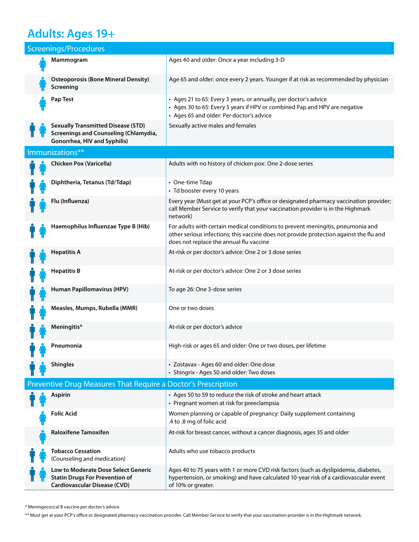## **Adults: Ages 19+**

| Screenings/Procedures |                                                                                                                     |                                                                                                                                                                                                                      |  |  |  |  |  |
|-----------------------|---------------------------------------------------------------------------------------------------------------------|----------------------------------------------------------------------------------------------------------------------------------------------------------------------------------------------------------------------|--|--|--|--|--|
|                       | Mammogram                                                                                                           | Ages 40 and older: Once a year including 3-D                                                                                                                                                                         |  |  |  |  |  |
|                       | <b>Osteoporosis (Bone Mineral Density)</b><br>Screening                                                             | Age 65 and older: once every 2 years. Younger if at risk as recommended by physician                                                                                                                                 |  |  |  |  |  |
|                       | Pap Test                                                                                                            | • Ages 21 to 65: Every 3 years, or annually, per doctor's advice<br>• Ages 30 to 65: Every 5 years if HPV or combined Pap and HPV are negative<br>• Ages 65 and older: Per doctor's advice                           |  |  |  |  |  |
|                       | <b>Sexually Transmitted Disease (STD)</b><br>Screenings and Counseling (Chlamydia,<br>Gonorrhea, HIV and Syphilis)  | Sexually active males and females                                                                                                                                                                                    |  |  |  |  |  |
|                       | Immunizations**                                                                                                     |                                                                                                                                                                                                                      |  |  |  |  |  |
|                       | Chicken Pox (Varicella)                                                                                             | Adults with no history of chicken pox: One 2-dose series                                                                                                                                                             |  |  |  |  |  |
|                       | Diphtheria, Tetanus (Td/Tdap)                                                                                       | • One-time Tdap<br>• Td booster every 10 years                                                                                                                                                                       |  |  |  |  |  |
|                       | Flu (Influenza)                                                                                                     | Every year (Must get at your PCP's office or designated pharmacy vaccination provider;<br>call Member Service to verify that your vaccination provider is in the Highmark<br>network)                                |  |  |  |  |  |
|                       | Haemophilus Influenzae Type B (Hib)                                                                                 | For adults with certain medical conditions to prevent meningitis, pneumonia and<br>other serious infections; this vaccine does not provide protection against the flu and<br>does not replace the annual flu vaccine |  |  |  |  |  |
|                       | <b>Hepatitis A</b>                                                                                                  | At-risk or per doctor's advice: One 2 or 3 dose series                                                                                                                                                               |  |  |  |  |  |
|                       | <b>Hepatitis B</b>                                                                                                  | At-risk or per doctor's advice: One 2 or 3 dose series                                                                                                                                                               |  |  |  |  |  |
|                       | Human Papillomavirus (HPV)                                                                                          | To age 26: One 3-dose series                                                                                                                                                                                         |  |  |  |  |  |
|                       | Measles, Mumps, Rubella (MMR)                                                                                       | One or two doses                                                                                                                                                                                                     |  |  |  |  |  |
|                       | Meningitis*                                                                                                         | At-risk or per doctor's advice                                                                                                                                                                                       |  |  |  |  |  |
|                       | Pneumonia                                                                                                           | High-risk or ages 65 and older: One or two doses, per lifetime                                                                                                                                                       |  |  |  |  |  |
|                       | <b>Shingles</b>                                                                                                     | • Zostavax - Ages 60 and older: One dose<br>• Shingrix - Ages 50 and older: Two doses                                                                                                                                |  |  |  |  |  |
|                       | Preventive Drug Measures That Require a Doctor's Prescription                                                       |                                                                                                                                                                                                                      |  |  |  |  |  |
|                       | <b>Aspirin</b>                                                                                                      | • Ages 50 to 59 to reduce the risk of stroke and heart attack<br>• Pregnant women at risk for preeclampsia                                                                                                           |  |  |  |  |  |
|                       | <b>Folic Acid</b>                                                                                                   | Women planning or capable of pregnancy: Daily supplement containing<br>.4 to .8 mg of folic acid                                                                                                                     |  |  |  |  |  |
|                       | <b>Raloxifene Tamoxifen</b>                                                                                         | At-risk for breast cancer, without a cancer diagnosis, ages 35 and older                                                                                                                                             |  |  |  |  |  |
|                       | <b>Tobacco Cessation</b><br>(Counseling and medication)                                                             | Adults who use tobacco products                                                                                                                                                                                      |  |  |  |  |  |
|                       | Low to Moderate Dose Select Generic<br><b>Statin Drugs For Prevention of</b><br><b>Cardiovascular Disease (CVD)</b> | Ages 40 to 75 years with 1 or more CVD risk factors (such as dyslipidemia, diabetes,<br>hypertension, or smoking) and have calculated 10-year risk of a cardiovascular event<br>of 10% or greater.                   |  |  |  |  |  |

\* Meningococcal B vaccine per doctor's advice.

\*\* Must get at your PCP's office or designated pharmacy vaccination provider. Call Member Service to verify that your vaccination provider is in the Highmark network.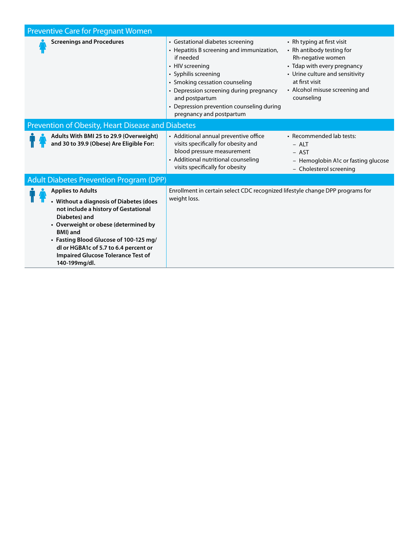| <b>Preventive Care for Pregnant Women</b>                                                                                                                                                                                                                                                                                                 |                                                                                                                                                                                                                                                                                                               |                                                                                                                                                                                                                  |  |  |  |
|-------------------------------------------------------------------------------------------------------------------------------------------------------------------------------------------------------------------------------------------------------------------------------------------------------------------------------------------|---------------------------------------------------------------------------------------------------------------------------------------------------------------------------------------------------------------------------------------------------------------------------------------------------------------|------------------------------------------------------------------------------------------------------------------------------------------------------------------------------------------------------------------|--|--|--|
| <b>Screenings and Procedures</b>                                                                                                                                                                                                                                                                                                          | • Gestational diabetes screening<br>• Hepatitis B screening and immunization,<br>if needed<br>• HIV screening<br>• Syphilis screening<br>• Smoking cessation counseling<br>• Depression screening during pregnancy<br>and postpartum<br>• Depression prevention counseling during<br>pregnancy and postpartum | • Rh typing at first visit<br>• Rh antibody testing for<br>Rh-negative women<br>• Tdap with every pregnancy<br>• Urine culture and sensitivity<br>at first visit<br>• Alcohol misuse screening and<br>counseling |  |  |  |
| Prevention of Obesity, Heart Disease and Diabetes                                                                                                                                                                                                                                                                                         |                                                                                                                                                                                                                                                                                                               |                                                                                                                                                                                                                  |  |  |  |
| Adults With BMI 25 to 29.9 (Overweight)<br>and 30 to 39.9 (Obese) Are Eligible For:                                                                                                                                                                                                                                                       | • Additional annual preventive office<br>visits specifically for obesity and<br>blood pressure measurement<br>• Additional nutritional counseling<br>visits specifically for obesity                                                                                                                          | • Recommended lab tests:<br>$-$ ALT<br>- AST<br>- Hemoglobin A1c or fasting glucose<br>- Cholesterol screening                                                                                                   |  |  |  |
| <b>Adult Diabetes Prevention Program (DPP)</b>                                                                                                                                                                                                                                                                                            |                                                                                                                                                                                                                                                                                                               |                                                                                                                                                                                                                  |  |  |  |
| <b>Applies to Adults</b><br>• Without a diagnosis of Diabetes (does<br>not include a history of Gestational<br>Diabetes) and<br>• Overweight or obese (determined by<br><b>BMI</b> ) and<br>• Fasting Blood Glucose of 100-125 mg/<br>dl or HGBA1c of 5.7 to 6.4 percent or<br><b>Impaired Glucose Tolerance Test of</b><br>140-199mg/dl. | weight loss.                                                                                                                                                                                                                                                                                                  | Enrollment in certain select CDC recognized lifestyle change DPP programs for                                                                                                                                    |  |  |  |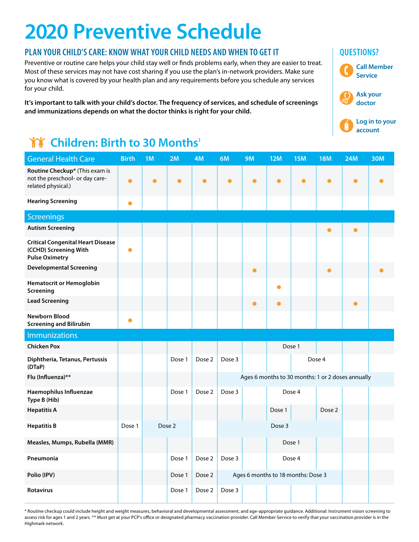# **2020 Preventive Schedule**

### **PLAN YOUR CHILD'S CARE: KNOW WHAT YOUR CHILD NEEDS AND WHEN TO GET IT**  $\qquad$  **QUESTIONS?**

Preventive or routine care helps your child stay well or finds problems early, when they are easier to treat. Most of these services may not have cost sharing if you use the plan's in-network providers. Make sure you know what is covered by your health plan and any requirements before you schedule any services for your child.

**It's important to talk with your child's doctor. The frequency of services, and schedule of screenings and immunizations depends on what the doctor thinks is right for your child.**

## **TY** Children: Birth to 30 Months<sup>1</sup>

| <b>General Health Care</b>                                                                 | <b>Birth</b> | 1M | 2M     | 4M        | 6M        | <b>9M</b> | <b>12M</b> | <b>15M</b>                         | <b>18M</b> | <b>24M</b>                                        | <b>30M</b> |
|--------------------------------------------------------------------------------------------|--------------|----|--------|-----------|-----------|-----------|------------|------------------------------------|------------|---------------------------------------------------|------------|
| Routine Checkup* (This exam is<br>not the preschool- or day care-<br>related physical.)    | $\bullet$    | ●  | 0      | $\bullet$ | $\bullet$ | $\bullet$ | $\bullet$  | $\bullet$                          | $\bullet$  | $\bullet$                                         |            |
| <b>Hearing Screening</b>                                                                   | $\bullet$    |    |        |           |           |           |            |                                    |            |                                                   |            |
| <b>Screenings</b>                                                                          |              |    |        |           |           |           |            |                                    |            |                                                   |            |
| <b>Autism Screening</b>                                                                    |              |    |        |           |           |           |            |                                    | $\bullet$  | О                                                 |            |
| <b>Critical Congenital Heart Disease</b><br>(CCHD) Screening With<br><b>Pulse Oximetry</b> | $\bullet$    |    |        |           |           |           |            |                                    |            |                                                   |            |
| <b>Developmental Screening</b>                                                             |              |    |        |           |           | $\bullet$ |            |                                    |            |                                                   |            |
| <b>Hematocrit or Hemoglobin</b><br>Screening                                               |              |    |        |           |           |           | e          |                                    |            |                                                   |            |
| <b>Lead Screening</b>                                                                      |              |    |        |           |           | ●         | $\bullet$  |                                    |            | $\bullet$                                         |            |
| <b>Newborn Blood</b><br><b>Screening and Bilirubin</b>                                     | $\bullet$    |    |        |           |           |           |            |                                    |            |                                                   |            |
| <b>Immunizations</b>                                                                       |              |    |        |           |           |           |            |                                    |            |                                                   |            |
| <b>Chicken Pox</b>                                                                         |              |    |        |           |           |           |            | Dose 1                             |            |                                                   |            |
| Diphtheria, Tetanus, Pertussis<br>(DTaP)                                                   |              |    | Dose 1 | Dose 2    | Dose 3    |           |            |                                    | Dose 4     |                                                   |            |
| Flu (Influenza)**                                                                          |              |    |        |           |           |           |            |                                    |            | Ages 6 months to 30 months: 1 or 2 doses annually |            |
| Haemophilus Influenzae<br>Type B (Hib)                                                     |              |    | Dose 1 | Dose 2    | Dose 3    |           |            | Dose 4                             |            |                                                   |            |
| <b>Hepatitis A</b>                                                                         |              |    |        |           |           |           | Dose 1     |                                    | Dose 2     |                                                   |            |
| <b>Hepatitis B</b>                                                                         | Dose 1       |    | Dose 2 |           |           |           | Dose 3     |                                    |            |                                                   |            |
| Measles, Mumps, Rubella (MMR)                                                              |              |    |        |           |           |           |            | Dose 1                             |            |                                                   |            |
| Pneumonia                                                                                  |              |    | Dose 1 | Dose 2    | Dose 3    |           |            | Dose 4                             |            |                                                   |            |
| Polio (IPV)                                                                                |              |    | Dose 1 | Dose 2    |           |           |            | Ages 6 months to 18 months: Dose 3 |            |                                                   |            |
| <b>Rotavirus</b>                                                                           |              |    | Dose 1 | Dose 2    | Dose 3    |           |            |                                    |            |                                                   |            |

\* Routine checkup could include height and weight measures, behavioral and developmental assessment, and age-appropriate guidance. Additional: Instrument vision screening to assess risk for ages 1 and 2 years. \*\* Must get at your PCP's office or designated pharmacy vaccination provider. Call Member Service to verify that your vaccination provider is in the Highmark network.

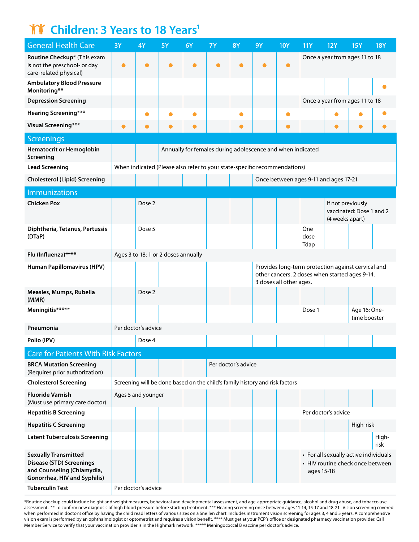## **TT** Children: 3 Years to 18 Years<sup>1</sup>

| <b>General Health Care</b>                                                                                                   | 3Y        | 4Y                  | <b>5Y</b>                                                                   | 6Y                                                         | <b>7Y</b> | <b>8Y</b>           | <b>9Y</b> | <b>10Y</b>              | <b>11Y</b>          | <b>12Y</b>                                                                                           | <b>15Y</b>                   | <b>18Y</b>    |
|------------------------------------------------------------------------------------------------------------------------------|-----------|---------------------|-----------------------------------------------------------------------------|------------------------------------------------------------|-----------|---------------------|-----------|-------------------------|---------------------|------------------------------------------------------------------------------------------------------|------------------------------|---------------|
| Routine Checkup* (This exam<br>is not the preschool- or day<br>care-related physical)                                        | $\bullet$ |                     |                                                                             |                                                            |           |                     |           |                         |                     | Once a year from ages 11 to 18                                                                       |                              |               |
| <b>Ambulatory Blood Pressure</b><br>Monitoring**                                                                             |           |                     |                                                                             |                                                            |           |                     |           |                         |                     |                                                                                                      |                              |               |
| <b>Depression Screening</b>                                                                                                  |           |                     |                                                                             |                                                            |           |                     |           |                         |                     | Once a year from ages 11 to 18                                                                       |                              |               |
| <b>Hearing Screening***</b>                                                                                                  |           |                     |                                                                             |                                                            |           |                     |           |                         |                     |                                                                                                      |                              |               |
| <b>Visual Screening***</b>                                                                                                   |           | O                   |                                                                             | $\bullet$                                                  |           | 0                   |           | O                       |                     |                                                                                                      | $\bullet$                    |               |
| <b>Screenings</b>                                                                                                            |           |                     |                                                                             |                                                            |           |                     |           |                         |                     |                                                                                                      |                              |               |
| <b>Hematocrit or Hemoglobin</b><br>Screening                                                                                 |           |                     |                                                                             | Annually for females during adolescence and when indicated |           |                     |           |                         |                     |                                                                                                      |                              |               |
| <b>Lead Screening</b>                                                                                                        |           |                     | When indicated (Please also refer to your state-specific recommendations)   |                                                            |           |                     |           |                         |                     |                                                                                                      |                              |               |
| <b>Cholesterol (Lipid) Screening</b>                                                                                         |           |                     |                                                                             |                                                            |           |                     |           |                         |                     | Once between ages 9-11 and ages 17-21                                                                |                              |               |
| <b>Immunizations</b>                                                                                                         |           |                     |                                                                             |                                                            |           |                     |           |                         |                     |                                                                                                      |                              |               |
| <b>Chicken Pox</b>                                                                                                           |           | Dose 2              |                                                                             |                                                            |           |                     |           |                         |                     | If not previously<br>(4 weeks apart)                                                                 | vaccinated: Dose 1 and 2     |               |
| Diphtheria, Tetanus, Pertussis<br>(DTaP)                                                                                     |           | Dose 5              |                                                                             |                                                            |           |                     |           |                         | One<br>dose<br>Tdap |                                                                                                      |                              |               |
| Flu (Influenza)****                                                                                                          |           |                     | Ages 3 to 18: 1 or 2 doses annually                                         |                                                            |           |                     |           |                         |                     |                                                                                                      |                              |               |
| Human Papillomavirus (HPV)                                                                                                   |           |                     |                                                                             |                                                            |           |                     |           | 3 doses all other ages. |                     | Provides long-term protection against cervical and<br>other cancers. 2 doses when started ages 9-14. |                              |               |
| Measles, Mumps, Rubella<br>(MMR)                                                                                             |           | Dose 2              |                                                                             |                                                            |           |                     |           |                         |                     |                                                                                                      |                              |               |
| Meningitis*****                                                                                                              |           |                     |                                                                             |                                                            |           |                     |           |                         | Dose 1              |                                                                                                      | Age 16: One-<br>time booster |               |
| Pneumonia                                                                                                                    |           | Per doctor's advice |                                                                             |                                                            |           |                     |           |                         |                     |                                                                                                      |                              |               |
| Polio (IPV)                                                                                                                  |           | Dose 4              |                                                                             |                                                            |           |                     |           |                         |                     |                                                                                                      |                              |               |
| <b>Care for Patients With Risk Factors</b>                                                                                   |           |                     |                                                                             |                                                            |           |                     |           |                         |                     |                                                                                                      |                              |               |
| <b>BRCA Mutation Screening</b><br>(Requires prior authorization)                                                             |           |                     |                                                                             |                                                            |           | Per doctor's advice |           |                         |                     |                                                                                                      |                              |               |
| <b>Cholesterol Screening</b>                                                                                                 |           |                     | Screening will be done based on the child's family history and risk factors |                                                            |           |                     |           |                         |                     |                                                                                                      |                              |               |
| <b>Fluoride Varnish</b><br>(Must use primary care doctor)                                                                    |           | Ages 5 and younger  |                                                                             |                                                            |           |                     |           |                         |                     |                                                                                                      |                              |               |
| <b>Hepatitis B Screening</b>                                                                                                 |           |                     |                                                                             |                                                            |           |                     |           |                         |                     | Per doctor's advice                                                                                  |                              |               |
| <b>Hepatitis C Screening</b>                                                                                                 |           |                     |                                                                             |                                                            |           |                     |           |                         |                     |                                                                                                      | High-risk                    |               |
| <b>Latent Tuberculosis Screening</b>                                                                                         |           |                     |                                                                             |                                                            |           |                     |           |                         |                     |                                                                                                      |                              | High-<br>risk |
| <b>Sexually Transmitted</b><br><b>Disease (STD) Screenings</b><br>and Counseling (Chlamydia,<br>Gonorrhea, HIV and Syphilis) |           |                     |                                                                             |                                                            |           |                     |           |                         | ages 15-18          | • For all sexually active individuals<br>• HIV routine check once between                            |                              |               |
| <b>Tuberculin Test</b>                                                                                                       |           | Per doctor's advice |                                                                             |                                                            |           |                     |           |                         |                     |                                                                                                      |                              |               |

\*Routine checkup could include height and weight measures, behavioral and developmental assessment, and age-appropriate guidance; alcohol and drug abuse, and tobacco use assessment. \*\* To confirm new diagnosis of high blood pressure before starting treatment. \*\*\* Hearing screening once between ages 11-14, 15-17 and 18-21. Vision screening covered when performed in doctor's office by having the child read letters of various sizes on a Snellen chart. Includes instrument vision screening for ages 3, 4 and 5 years. A comprehensive vision exam is performed by an ophthalmologist or optometrist and requires a vision benefit. \*\*\*\* Must get at your PCP's office or designated pharmacy vaccination provider. Call Member Service to verify that your vaccination provider is in the Highmark network. \*\*\*\*\* Meningococcal B vaccine per doctor's advice.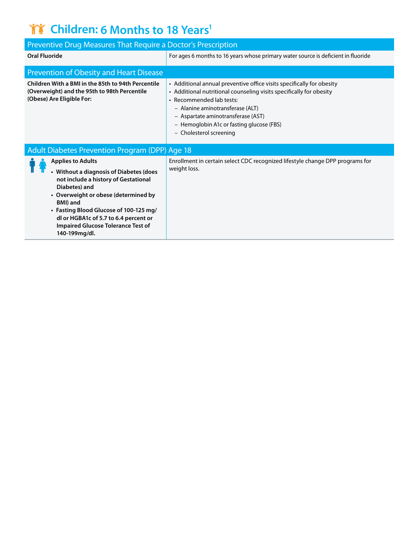## **THE Children: 6 Months to 18 Years<sup>1</sup>**

| Preventive Drug Measures That Require a Doctor's Prescription                                                                                                                                                                                                                                                                     |                                                                                                                                                                                                                                                                                                                            |  |  |  |  |  |  |
|-----------------------------------------------------------------------------------------------------------------------------------------------------------------------------------------------------------------------------------------------------------------------------------------------------------------------------------|----------------------------------------------------------------------------------------------------------------------------------------------------------------------------------------------------------------------------------------------------------------------------------------------------------------------------|--|--|--|--|--|--|
| <b>Oral Fluoride</b>                                                                                                                                                                                                                                                                                                              | For ages 6 months to 16 years whose primary water source is deficient in fluoride                                                                                                                                                                                                                                          |  |  |  |  |  |  |
| <b>Prevention of Obesity and Heart Disease</b>                                                                                                                                                                                                                                                                                    |                                                                                                                                                                                                                                                                                                                            |  |  |  |  |  |  |
| Children With a BMI in the 85th to 94th Percentile<br>(Overweight) and the 95th to 98th Percentile<br>(Obese) Are Eligible For:                                                                                                                                                                                                   | • Additional annual preventive office visits specifically for obesity<br>• Additional nutritional counseling visits specifically for obesity<br>• Recommended lab tests:<br>- Alanine aminotransferase (ALT)<br>- Aspartate aminotransferase (AST)<br>- Hemoglobin A1c or fasting glucose (FBS)<br>- Cholesterol screening |  |  |  |  |  |  |
| <b>Adult Diabetes Prevention Program (DPP) Age 18</b>                                                                                                                                                                                                                                                                             |                                                                                                                                                                                                                                                                                                                            |  |  |  |  |  |  |
| <b>Applies to Adults</b><br>• Without a diagnosis of Diabetes (does<br>not include a history of Gestational<br>Diabetes) and<br>• Overweight or obese (determined by<br>BMI) and<br>• Fasting Blood Glucose of 100-125 mg/<br>dl or HGBA1c of 5.7 to 6.4 percent or<br><b>Impaired Glucose Tolerance Test of</b><br>140-199mg/dl. | Enrollment in certain select CDC recognized lifestyle change DPP programs for<br>weight loss.                                                                                                                                                                                                                              |  |  |  |  |  |  |